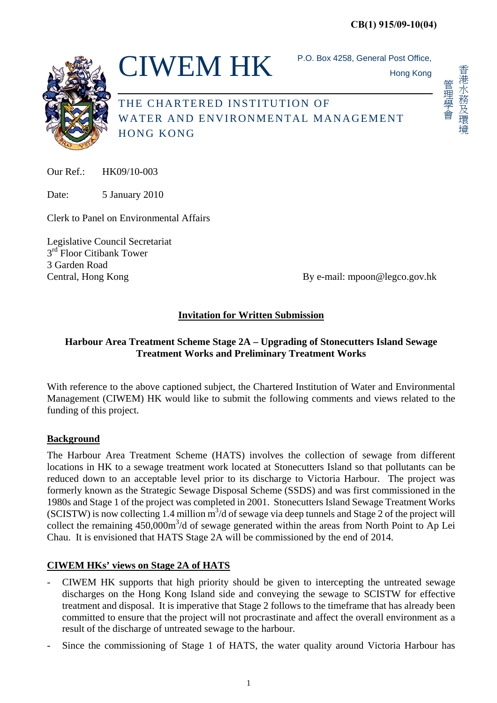

 $CIWEM HK$  P.O. Box 4258, General Post Office,

Hong Kong

杳港水務及環境 香港水務及環境 管理學會

管理學會

THE CHARTERED INSTITUTION OF WATER AND ENVIRONMENTAL MANAGEMENT HONG KONG

 $Our Ref. \qquad HK09/10-003$ 

Date: 5 January 2010

Clerk to Panel on Environmental Affairs

Legislative Council Secretariat  $3<sup>rd</sup>$  Floor Citibank Tower 3 Garden Road

Central, Hong Kong **By e-mail:** mpoon@legco.gov.hk

## **Invitation for Written Submission**

## **Harbour Area Treatment Scheme Stage 2A – Upgrading of Stonecutters Island Sewage Treatment Works and Preliminary Treatment Works**

With reference to the above captioned subject, the Chartered Institution of Water and Environmental Management (CIWEM) HK would like to submit the following comments and views related to the funding of this project.

## **Background**

The Harbour Area Treatment Scheme (HATS) involves the collection of sewage from different locations in HK to a sewage treatment work located at Stonecutters Island so that pollutants can be reduced down to an acceptable level prior to its discharge to Victoria Harbour. The project was formerly known as the Strategic Sewage Disposal Scheme (SSDS) and was first commissioned in the 1980s and Stage 1 of the project was completed in 2001. Stonecutters Island Sewage Treatment Works (SCISTW) is now collecting 1.4 million  $m<sup>3</sup>/d$  of sewage via deep tunnels and Stage 2 of the project will collect the remaining 450,000m<sup>3</sup>/d of sewage generated within the areas from North Point to Ap Lei Chau. It is envisioned that HATS Stage 2A will be commissioned by the end of 2014.

## **CIWEM HKs' views on Stage 2A of HATS**

- CIWEM HK supports that high priority should be given to intercepting the untreated sewage discharges on the Hong Kong Island side and conveying the sewage to SCISTW for effective treatment and disposal. It is imperative that Stage 2 follows to the timeframe that has already been committed to ensure that the project will not procrastinate and affect the overall environment as a result of the discharge of untreated sewage to the harbour.
- Since the commissioning of Stage 1 of HATS, the water quality around Victoria Harbour has